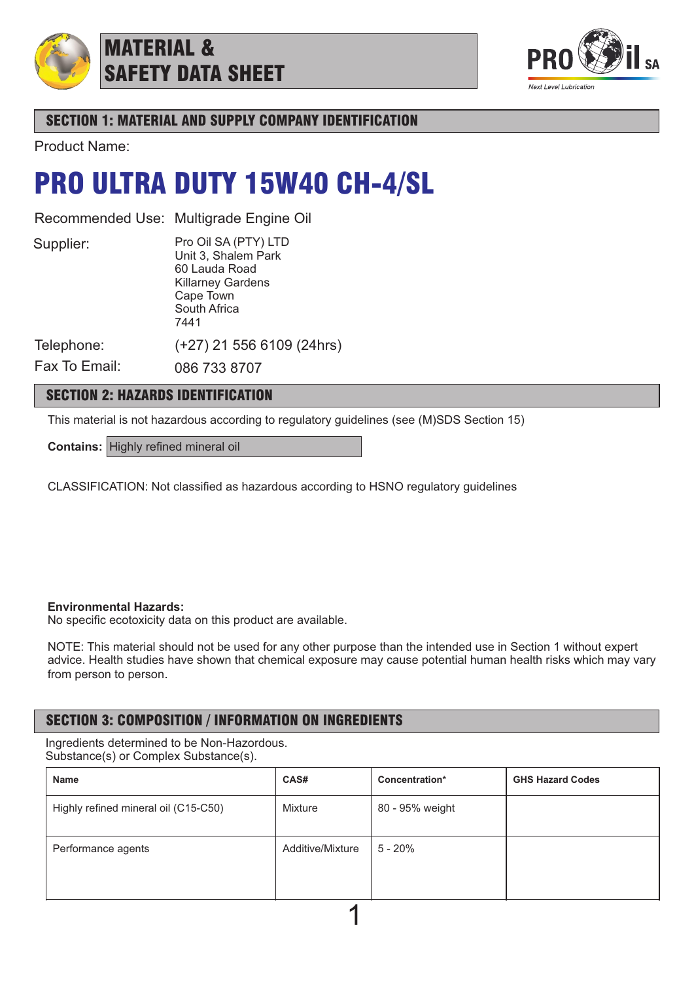

## MATERIAL & SAFETY DATA SHEET



## SECTION 1: MATERIAL AND SUPPLY COMPANY IDENTIFICATION

Product Name:

## PRO ULTRA DUTY 15W40 CH-4/SL

Recommended Use: Multigrade Engine Oil

Supplier:

Pro Oil SA (PTY) LTD Unit 3, Shalem Park 60 Lauda Road Killarney Gardens Cape Town South Africa 7441

(+27) 21 556 6109 (24hrs)

Telephone:

Fax To Email: 086 733 8707

## SECTION 2: HAZARDS IDENTIFICATION

This material is not hazardous according to regulatory guidelines (see (M)SDS Section 15)

**Contains:** Highly refined mineral oil

CLASSIFICATION: Not classified as hazardous according to HSNO regulatory guidelines

### **Environmental Hazards:**

No specific ecotoxicity data on this product are available.

NOTE: This material should not be used for any other purpose than the intended use in Section 1 without expert advice. Health studies have shown that chemical exposure may cause potential human health risks which may vary from person to person.

## SECTION 3: COMPOSITION / INFORMATION ON INGREDIENTS

Ingredients determined to be Non-Hazordous. Substance(s) or Complex Substance(s).

| Name                                 | CAS#             | Concentration*  | <b>GHS Hazard Codes</b> |  |  |  |
|--------------------------------------|------------------|-----------------|-------------------------|--|--|--|
| Highly refined mineral oil (C15-C50) | Mixture          | 80 - 95% weight |                         |  |  |  |
| Performance agents                   | Additive/Mixture | 5 - 20%         |                         |  |  |  |
|                                      |                  |                 |                         |  |  |  |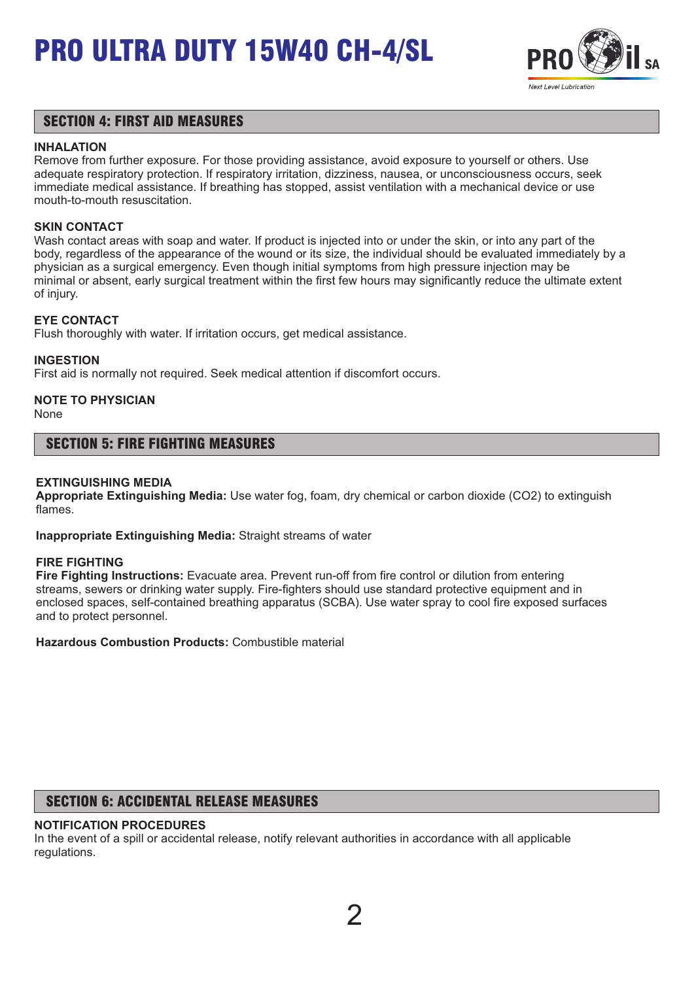

### SECTION 4: FIRST AID MEASURES

### **INHALATION**

Remove from further exposure. For those providing assistance, avoid exposure to yourself or others. Use adequate respiratory protection. If respiratory irritation, dizziness, nausea, or unconsciousness occurs, seek immediate medical assistance. If breathing has stopped, assist ventilation with a mechanical device or use mouth-to-mouth resuscitation.

### **SKIN CONTACT**

Wash contact areas with soap and water. If product is injected into or under the skin, or into any part of the body, regardless of the appearance of the wound or its size, the individual should be evaluated immediately by a physician as a surgical emergency. Even though initial symptoms from high pressure injection may be minimal or absent, early surgical treatment within the first few hours may significantly reduce the ultimate extent of injury.

### **EYE CONTACT**

Flush thoroughly with water. If irritation occurs, get medical assistance.

#### **INGESTION**

First aid is normally not required. Seek medical attention if discomfort occurs.

## **NOTE TO PHYSICIAN**

None

### SECTION 5: FIRE FIGHTING MEASURES

#### **EXTINGUISHING MEDIA**

**Appropriate Extinguishing Media:** Use water fog, foam, dry chemical or carbon dioxide (CO2) to extinguish flames.

**Inappropriate Extinguishing Media:** Straight streams of water

#### **FIRE FIGHTING**

**Fire Fighting Instructions:** Evacuate area. Prevent run-off from fire control or dilution from entering streams, sewers or drinking water supply. Fire-fighters should use standard protective equipment and in enclosed spaces, self-contained breathing apparatus (SCBA). Use water spray to cool fire exposed surfaces and to protect personnel.

**Hazardous Combustion Products:** Combustible material

### SECTION 6: ACCIDENTAL RELEASE MEASURES

### **NOTIFICATION PROCEDURES**

In the event of a spill or accidental release, notify relevant authorities in accordance with all applicable regulations.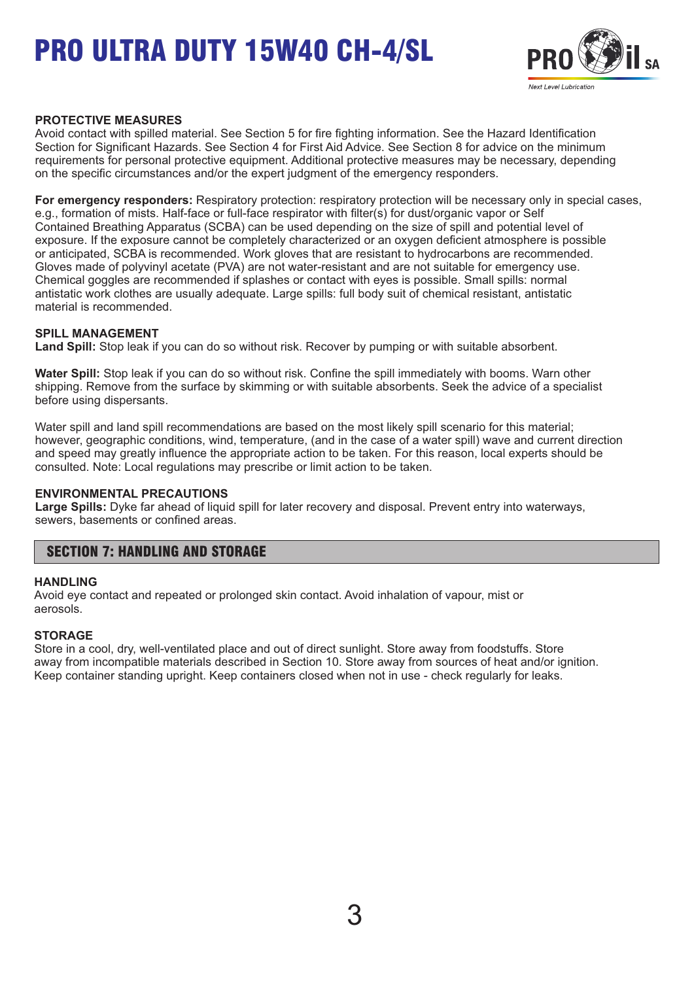

### **PROTECTIVE MEASURES**

Avoid contact with spilled material. See Section 5 for fire fighting information. See the Hazard Identification Section for Significant Hazards. See Section 4 for First Aid Advice. See Section 8 for advice on the minimum requirements for personal protective equipment. Additional protective measures may be necessary, depending on the specific circumstances and/or the expert judgment of the emergency responders.

**For emergency responders:** Respiratory protection: respiratory protection will be necessary only in special cases, e.g., formation of mists. Half-face or full-face respirator with filter(s) for dust/organic vapor or Self Contained Breathing Apparatus (SCBA) can be used depending on the size of spill and potential level of exposure. If the exposure cannot be completely characterized or an oxygen deficient atmosphere is possible or anticipated, SCBA is recommended. Work gloves that are resistant to hydrocarbons are recommended. Gloves made of polyvinyl acetate (PVA) are not water-resistant and are not suitable for emergency use. Chemical goggles are recommended if splashes or contact with eyes is possible. Small spills: normal antistatic work clothes are usually adequate. Large spills: full body suit of chemical resistant, antistatic material is recommended.

### **SPILL MANAGEMENT**

**Land Spill:** Stop leak if you can do so without risk. Recover by pumping or with suitable absorbent.

**Water Spill:** Stop leak if you can do so without risk. Confine the spill immediately with booms. Warn other shipping. Remove from the surface by skimming or with suitable absorbents. Seek the advice of a specialist before using dispersants.

Water spill and land spill recommendations are based on the most likely spill scenario for this material; however, geographic conditions, wind, temperature, (and in the case of a water spill) wave and current direction and speed may greatly influence the appropriate action to be taken. For this reason, local experts should be consulted. Note: Local regulations may prescribe or limit action to be taken.

#### **ENVIRONMENTAL PRECAUTIONS**

**Large Spills:** Dyke far ahead of liquid spill for later recovery and disposal. Prevent entry into waterways, sewers, basements or confined areas.

### SECTION 7: HANDLING AND STORAGE

#### **HANDLING**

Avoid eye contact and repeated or prolonged skin contact. Avoid inhalation of vapour, mist or aerosols.

### **STORAGE**

Store in a cool, dry, well-ventilated place and out of direct sunlight. Store away from foodstuffs. Store away from incompatible materials described in Section 10. Store away from sources of heat and/or ignition. Keep container standing upright. Keep containers closed when not in use - check regularly for leaks.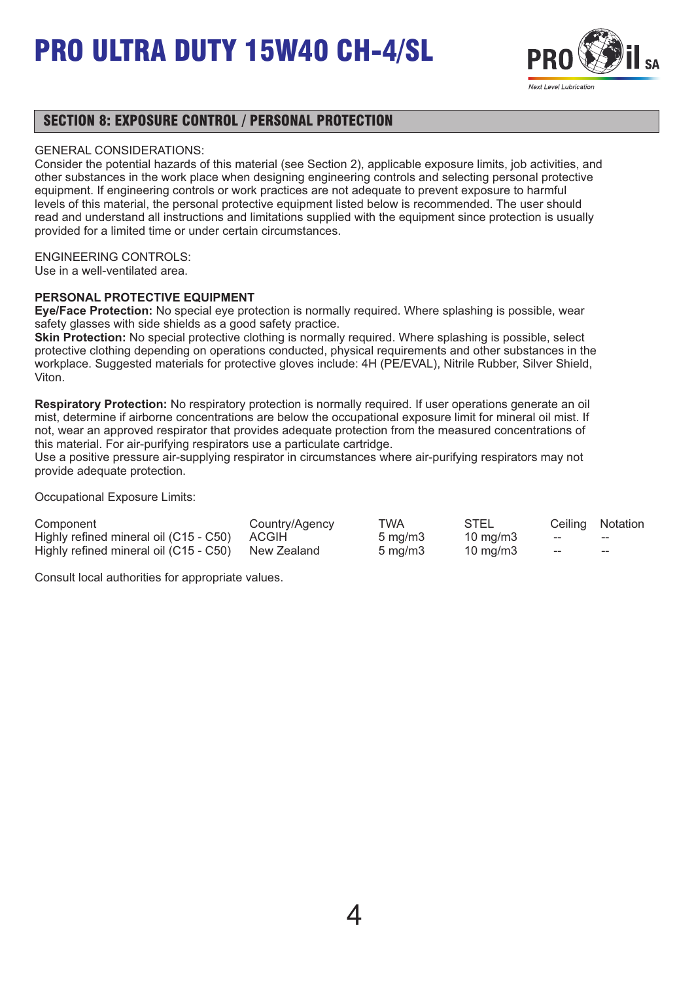

### SECTION 8: EXPOSURE CONTROL / PERSONAL PROTECTION

### GENERAL CONSIDERATIONS:

Consider the potential hazards of this material (see Section 2), applicable exposure limits, job activities, and other substances in the work place when designing engineering controls and selecting personal protective equipment. If engineering controls or work practices are not adequate to prevent exposure to harmful levels of this material, the personal protective equipment listed below is recommended. The user should read and understand all instructions and limitations supplied with the equipment since protection is usually provided for a limited time or under certain circumstances.

### ENGINEERING CONTROLS:

Use in a well-ventilated area.

### **PERSONAL PROTECTIVE EQUIPMENT**

**Eye/Face Protection:** No special eye protection is normally required. Where splashing is possible, wear safety glasses with side shields as a good safety practice.

**Skin Protection:** No special protective clothing is normally required. Where splashing is possible, select protective clothing depending on operations conducted, physical requirements and other substances in the workplace. Suggested materials for protective gloves include: 4H (PE/EVAL), Nitrile Rubber, Silver Shield, Viton.

**Respiratory Protection:** No respiratory protection is normally required. If user operations generate an oil mist, determine if airborne concentrations are below the occupational exposure limit for mineral oil mist. If not, wear an approved respirator that provides adequate protection from the measured concentrations of this material. For air-purifying respirators use a particulate cartridge.

Use a positive pressure air-supplying respirator in circumstances where air-purifying respirators may not provide adequate protection.

Occupational Exposure Limits:

| Component                                          | Country/Agency | TWA                 | STEL              |     | Ceiling Notation |
|----------------------------------------------------|----------------|---------------------|-------------------|-----|------------------|
| Highly refined mineral oil (C15 - C50) ACGIH       |                | $5 \,\mathrm{mq/m}$ | $10 \text{ mg/m}$ | $-$ | $- -$            |
| Highly refined mineral oil (C15 - C50) New Zealand |                | $5 \text{ ma/m}$ 3  | 10 mg/m3          | ——  | $- -$            |

Consult local authorities for appropriate values.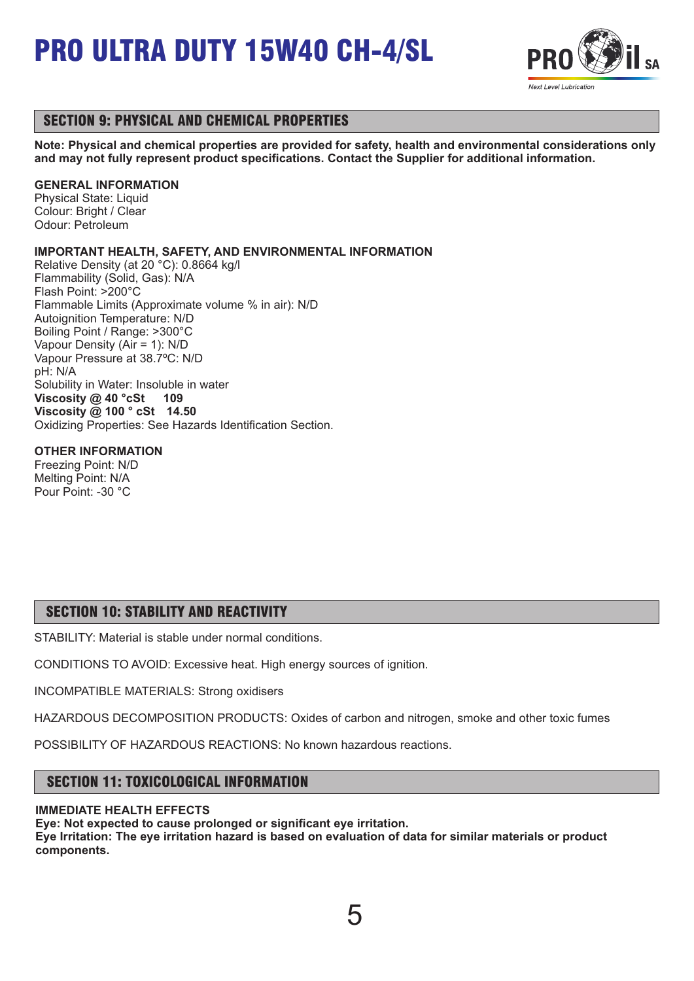

## SECTION 9: PHYSICAL AND CHEMICAL PROPERTIES

**Note: Physical and chemical properties are provided for safety, health and environmental considerations only and may not fully represent product specifications. Contact the Supplier for additional information.**

### **GENERAL INFORMATION**

Physical State: Liquid Colour: Bright / Clear Odour: Petroleum

### **IMPORTANT HEALTH, SAFETY, AND ENVIRONMENTAL INFORMATION**

Relative Density (at 20 °C): 0.8664 kg/l Flammability (Solid, Gas): N/A Flash Point: >200°C Flammable Limits (Approximate volume % in air): N/D Autoignition Temperature: N/D Boiling Point / Range: >300°C Vapour Density (Air = 1): N/D Vapour Pressure at 38.7ºC: N/D pH: N/A Solubility in Water: Insoluble in water **Viscosity @ 40 °cSt 109 Viscosity @ 100 ° cSt 14.50** Oxidizing Properties: See Hazards Identification Section.

### **OTHER INFORMATION**

Freezing Point: N/D Melting Point: N/A Pour Point: -30 °C

## SECTION 10: STABILITY AND REACTIVITY

STABILITY: Material is stable under normal conditions.

CONDITIONS TO AVOID: Excessive heat. High energy sources of ignition.

INCOMPATIBLE MATERIALS: Strong oxidisers

HAZARDOUS DECOMPOSITION PRODUCTS: Oxides of carbon and nitrogen, smoke and other toxic fumes

POSSIBILITY OF HAZARDOUS REACTIONS: No known hazardous reactions.

## SECTION 11: TOXICOLOGICAL INFORMATION

### **IMMEDIATE HEALTH EFFECTS**

**Eye: Not expected to cause prolonged or significant eye irritation. Eye Irritation: The eye irritation hazard is based on evaluation of data for similar materials or product components.** 

5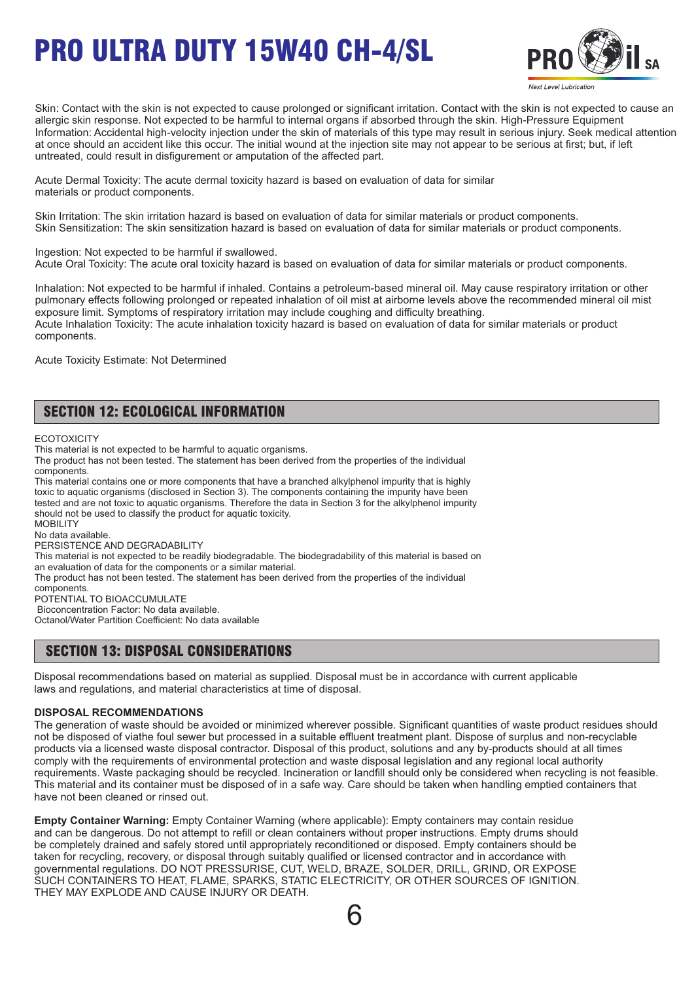

Skin: Contact with the skin is not expected to cause prolonged or significant irritation. Contact with the skin is not expected to cause an allergic skin response. Not expected to be harmful to internal organs if absorbed through the skin. High-Pressure Equipment Information: Accidental high-velocity injection under the skin of materials of this type may result in serious injury. Seek medical attention at once should an accident like this occur. The initial wound at the injection site may not appear to be serious at first; but, if left untreated, could result in disfigurement or amputation of the affected part.

Acute Dermal Toxicity: The acute dermal toxicity hazard is based on evaluation of data for similar materials or product components.

Skin Irritation: The skin irritation hazard is based on evaluation of data for similar materials or product components. Skin Sensitization: The skin sensitization hazard is based on evaluation of data for similar materials or product components.

Ingestion: Not expected to be harmful if swallowed. Acute Oral Toxicity: The acute oral toxicity hazard is based on evaluation of data for similar materials or product components.

Inhalation: Not expected to be harmful if inhaled. Contains a petroleum-based mineral oil. May cause respiratory irritation or other pulmonary effects following prolonged or repeated inhalation of oil mist at airborne levels above the recommended mineral oil mist exposure limit. Symptoms of respiratory irritation may include coughing and difficulty breathing. Acute Inhalation Toxicity: The acute inhalation toxicity hazard is based on evaluation of data for similar materials or product components.

Acute Toxicity Estimate: Not Determined

## SECTION 12: ECOLOGICAL INFORMATION

**ECOTOXICITY** 

This material is not expected to be harmful to aquatic organisms.

The product has not been tested. The statement has been derived from the properties of the individual components.

This material contains one or more components that have a branched alkylphenol impurity that is highly toxic to aquatic organisms (disclosed in Section 3). The components containing the impurity have been tested and are not toxic to aquatic organisms. Therefore the data in Section 3 for the alkylphenol impurity should not be used to classify the product for aquatic toxicity. **MOBILITY** No data available. PERSISTENCE AND DEGRADABILITY This material is not expected to be readily biodegradable. The biodegradability of this material is based on

an evaluation of data for the components or a similar material.

The product has not been tested. The statement has been derived from the properties of the individual

components.

POTENTIAL TO BIOACCUMULATE Bioconcentration Factor: No data available.

Octanol/Water Partition Coefficient: No data available

### SECTION 13: DISPOSAL CONSIDERATIONS

Disposal recommendations based on material as supplied. Disposal must be in accordance with current applicable laws and regulations, and material characteristics at time of disposal.

#### **DISPOSAL RECOMMENDATIONS**

The generation of waste should be avoided or minimized wherever possible. Significant quantities of waste product residues should not be disposed of viathe foul sewer but processed in a suitable effluent treatment plant. Dispose of surplus and non-recyclable products via a licensed waste disposal contractor. Disposal of this product, solutions and any by-products should at all times comply with the requirements of environmental protection and waste disposal legislation and any regional local authority requirements. Waste packaging should be recycled. Incineration or landfill should only be considered when recycling is not feasible. This material and its container must be disposed of in a safe way. Care should be taken when handling emptied containers that have not been cleaned or rinsed out.

**Empty Container Warning:** Empty Container Warning (where applicable): Empty containers may contain residue and can be dangerous. Do not attempt to refill or clean containers without proper instructions. Empty drums should be completely drained and safely stored until appropriately reconditioned or disposed. Empty containers should be taken for recycling, recovery, or disposal through suitably qualified or licensed contractor and in accordance with governmental regulations. DO NOT PRESSURISE, CUT, WELD, BRAZE, SOLDER, DRILL, GRIND, OR EXPOSE SUCH CONTAINERS TO HEAT, FLAME, SPARKS, STATIC ELECTRICITY, OR OTHER SOURCES OF IGNITION. THEY MAY EXPLODE AND CAUSE INJURY OR DEATH.